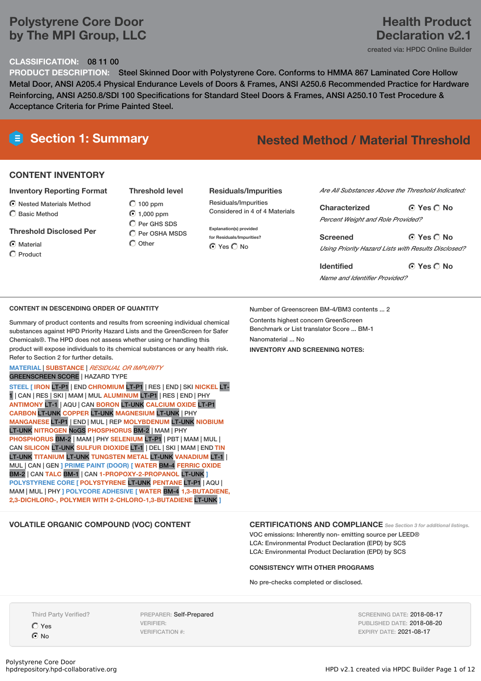# **Polystyrene Core Door by The MPI Group, LLC**

### **CLASSIFICATION:** 08 11 00

# **PRODUCT DESCRIPTION:** Steel Skinned Door with Polystyrene Core. Conforms to HMMA 867 Laminated Core Hollow Metal Door, ANSI A205.4 Physical Endurance Levels of Doors & Frames, ANSI A250.6 Recommended Practice for Hardware Reinforcing, ANSI A250.8/SDI 100 Specifications for Standard Steel Doors & Frames, ANSI A250.10 Test Procedure & Acceptance Criteria for Prime Painted Steel.

# **Section 1: Summary Nested Method / Material Threshold**

# **CONTENT INVENTORY**

#### **Inventory Reporting Format**

- $\odot$  Nested Materials Method
- Basic Method

#### **Threshold Disclosed Per**

C Material

 $\bigcap$  Product

**Threshold level**  $O$  100 ppm 1,000 ppm  $O$  Per GHS SDS  $\overline{O}$  Per OSHA MSDS  $\bigcirc$  Other

### **Residuals/Impurities**

Residuals/Impurities Considered in 4 of 4 Materials

**Explanation(s) provided for Residuals/Impurities?** ⊙ Yes O No

*Are All Substances Above the Threshold Indicated:*

**Yes No Characterized** *Percent Weight and Role Provided?*

**Yes No Screened** *Using Priority Hazard Lists with Results Disclosed?*

**Yes No Identified** *Name and Identifier Provided?*

### **CONTENT IN DESCENDING ORDER OF QUANTITY**

Summary of product contents and results from screening individual chemical substances against HPD Priority Hazard Lists and the GreenScreen for Safer Chemicals®. The HPD does not assess whether using or handling this product will expose individuals to its chemical substances or any health risk. Refer to Section 2 for further details.

# **MATERIAL** | **SUBSTANCE** | *RESIDUAL OR IMPURITY*

GREENSCREEN SCORE | HAZARD TYPE

**STEEL [ IRON** LT-P1 | END **CHROMIUM** LT-P1 | RES | END | SKI **NICKEL** LT-1 | CAN | RES | SKI | MAM | MUL **ALUMINUM** LT-P1 | RES | END | PHY **ANTIMONY** LT-1 | AQU | CAN **BORON** LT-UNK **CALCIUM OXIDE** LT-P1 **CARBON** LT-UNK **COPPER** LT-UNK **MAGNESIUM** LT-UNK | PHY **MANGANESE** LT-P1 | END | MUL | REP **MOLYBDENUM** LT-UNK **NIOBIUM** LT-UNK **NITROGEN** NoGS **PHOSPHORUS** BM-2 | MAM | PHY **PHOSPHORUS** BM-2 | MAM | PHY **SELENIUM** LT-P1 | PBT | MAM | MUL | CAN **SILICON** LT-UNK **SULFUR DIOXIDE** LT-1 | DEL | SKI | MAM | END **TIN** LT-UNK **TITANIUM** LT-UNK **TUNGSTEN METAL** LT-UNK **VANADIUM** LT-1 | MUL | CAN | GEN **] PRIME PAINT (DOOR) [ WATER** BM-4 **FERRIC OXIDE** BM-2 | CAN **TALC** BM-1 | CAN **1-PROPOXY-2-PROPANOL** LT-UNK **] POLYSTYRENE CORE [ POLYSTYRENE** LT-UNK **PENTANE** LT-P1 | AQU | MAM | MUL | PHY **] POLYCORE ADHESIVE [ WATER** BM-4 **1,3-BUTADIENE, 2,3-DICHLORO-, POLYMER WITH 2-CHLORO-1,3-BUTADIENE** LT-UNK **]**

Number of Greenscreen BM-4/BM3 contents ... 2

Contents highest concern GreenScreen Benchmark or List translator Score ... BM-1 Nanomaterial No. **INVENTORY AND SCREENING NOTES:**

# **VOLATILE ORGANIC COMPOUND (VOC) CONTENT CERTIFICATIONS AND COMPLIANCE** *See Section <sup>3</sup> for additional listings.*

VOC emissions: Inherently non- emitting source per LEED® LCA: Environmental Product Declaration (EPD) by SCS LCA: Environmental Product Declaration (EPD) by SCS

#### **CONSISTENCY WITH OTHER PROGRAMS**

No pre-checks completed or disclosed.

Third Party Verified? Yes

 $\odot$  No

PREPARER: Self-Prepared VERIFIER: VERIFICATION #:

SCREENING DATE: 2018-08-17 PUBLISHED DATE: 2018-08-20 EXPIRY DATE: 2021-08-17

# HPD v2.1 created via HPDC Builder Page 1 of 12

**Declaration v2.1** created via: HPDC Online Builder

**Health Product**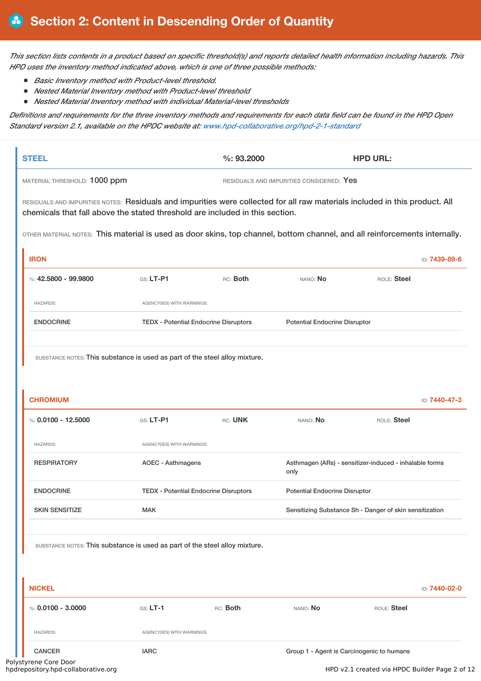This section lists contents in a product based on specific threshold(s) and reports detailed health information including hazards. This *HPD uses the inventory method indicated above, which is one of three possible methods:*

- *Basic Inventory method with Product-level threshold.*
- *Nested Material Inventory method with Product-level threshold*
- *Nested Material Inventory method with individual Material-level thresholds*

Definitions and requirements for the three inventory methods and requirements for each data field can be found in the HPD Open *Standard version 2.1, available on the HPDC website at: www.hpd-collaborative.org/hpd-2-1-standard*

|                                                                                                                                                                                                             |                            | %: 93,2000                                   |                                                                | <b>HPD URL:</b> |                                |
|-------------------------------------------------------------------------------------------------------------------------------------------------------------------------------------------------------------|----------------------------|----------------------------------------------|----------------------------------------------------------------|-----------------|--------------------------------|
| MATERIAL THRESHOLD: 1000 ppm                                                                                                                                                                                |                            |                                              | RESIDUALS AND IMPURITIES CONSIDERED: Yes                       |                 |                                |
| RESIDUALS AND IMPURITIES NOTES: Residuals and impurities were collected for all raw materials included in this product. All<br>chemicals that fall above the stated threshold are included in this section. |                            |                                              |                                                                |                 |                                |
| OTHER MATERIAL NOTES: This material is used as door skins, top channel, bottom channel, and all reinforcements internally.                                                                                  |                            |                                              |                                                                |                 |                                |
| <b>IRON</b><br>%: $42.5800 - 99.9800$                                                                                                                                                                       | $GS: LT-P1$                | RC: Both                                     | NANO: No                                                       | ROLE: Steel     | ID: 7439-89-6                  |
| <b>HAZARDS:</b>                                                                                                                                                                                             | AGENCY(IES) WITH WARNINGS: |                                              |                                                                |                 |                                |
| <b>ENDOCRINE</b>                                                                                                                                                                                            |                            | <b>TEDX - Potential Endocrine Disruptors</b> | <b>Potential Endocrine Disruptor</b>                           |                 |                                |
| SUBSTANCE NOTES: This substance is used as part of the steel alloy mixture.                                                                                                                                 |                            |                                              |                                                                |                 |                                |
|                                                                                                                                                                                                             |                            |                                              |                                                                |                 |                                |
| <b>CHROMIUM</b>                                                                                                                                                                                             |                            |                                              |                                                                |                 |                                |
| %: $0.0100 - 12.5000$                                                                                                                                                                                       | $GS: LT-P1$                | RC: UNK                                      | NANO: No                                                       | ROLE: Steel     |                                |
| <b>HAZARDS:</b>                                                                                                                                                                                             | AGENCY(IES) WITH WARNINGS: |                                              |                                                                |                 |                                |
| <b>RESPIRATORY</b>                                                                                                                                                                                          | <b>AOEC - Asthmagens</b>   |                                              | Asthmagen (ARs) - sensitizer-induced - inhalable forms<br>only |                 |                                |
| <b>ENDOCRINE</b>                                                                                                                                                                                            |                            | <b>TEDX - Potential Endocrine Disruptors</b> | <b>Potential Endocrine Disruptor</b>                           |                 |                                |
| <b>SKIN SENSITIZE</b>                                                                                                                                                                                       | <b>MAK</b>                 |                                              | Sensitizing Substance Sh - Danger of skin sensitization        |                 |                                |
| SUBSTANCE NOTES: This substance is used as part of the steel alloy mixture.                                                                                                                                 |                            |                                              |                                                                |                 |                                |
| <b>NICKEL</b>                                                                                                                                                                                               |                            |                                              |                                                                |                 |                                |
| %: $0.0100 - 3.0000$                                                                                                                                                                                        | $GS: LT-1$                 | RC: Both                                     | NANO: No                                                       | ROLE: Steel     |                                |
| <b>HAZARDS:</b>                                                                                                                                                                                             | AGENCY(IES) WITH WARNINGS: |                                              |                                                                |                 | ID: 7440-47-3<br>ID: 7440-02-0 |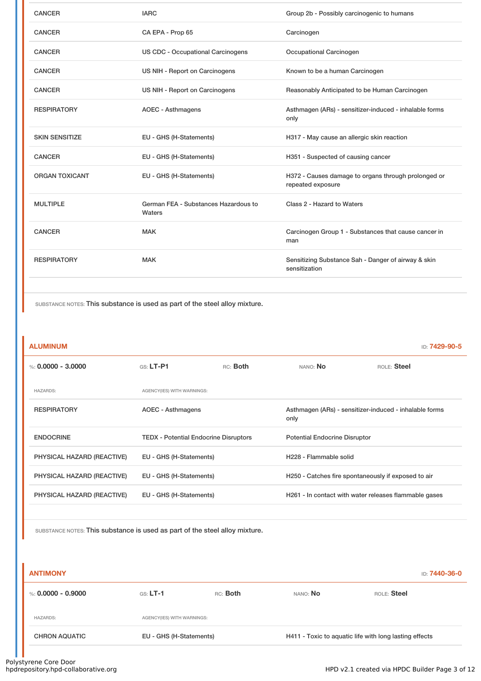| <b>CANCER</b>         | <b>IARC</b>                                    | Group 2b - Possibly carcinogenic to humans                               |
|-----------------------|------------------------------------------------|--------------------------------------------------------------------------|
| <b>CANCER</b>         | CA EPA - Prop 65                               | Carcinogen                                                               |
| <b>CANCER</b>         | <b>US CDC - Occupational Carcinogens</b>       | Occupational Carcinogen                                                  |
| <b>CANCER</b>         | US NIH - Report on Carcinogens                 | Known to be a human Carcinogen                                           |
| <b>CANCER</b>         | US NIH - Report on Carcinogens                 | Reasonably Anticipated to be Human Carcinogen                            |
| <b>RESPIRATORY</b>    | <b>AOEC - Asthmagens</b>                       | Asthmagen (ARs) - sensitizer-induced - inhalable forms<br>only           |
| <b>SKIN SENSITIZE</b> | EU - GHS (H-Statements)                        | H317 - May cause an allergic skin reaction                               |
| <b>CANCER</b>         | EU - GHS (H-Statements)                        | H351 - Suspected of causing cancer                                       |
| <b>ORGAN TOXICANT</b> | EU - GHS (H-Statements)                        | H372 - Causes damage to organs through prolonged or<br>repeated exposure |
| <b>MULTIPLE</b>       | German FEA - Substances Hazardous to<br>Waters | Class 2 - Hazard to Waters                                               |
| <b>CANCER</b>         | <b>MAK</b>                                     | Carcinogen Group 1 - Substances that cause cancer in<br>man              |
| <b>RESPIRATORY</b>    | <b>MAK</b>                                     | Sensitizing Substance Sah - Danger of airway & skin<br>sensitization     |
|                       |                                                |                                                                          |

### **ALUMINUM** ID: **7429-90-5**

%: **0.0000 - 3.0000** GS: **LT-P1** RC: **Both** NANO: **No** ROLE: **Steel** HAZARDS: AGENCY(IES) WITH WARNINGS: RESPIRATORY **AOEC - Asthmagens** ACEC - Asthmagens Asthmagen (ARs) - sensitizer-induced - inhalable forms only ENDOCRINE TEDX - Potential Endocrine Disruptors Potential Endocrine Disruptor PHYSICAL HAZARD (REACTIVE) EU - GHS (H-Statements) H228 - Flammable solid PHYSICAL HAZARD (REACTIVE) EU - GHS (H-Statements) H250 - Catches fire spontaneously if exposed to air PHYSICAL HAZARD (REACTIVE) EU - GHS (H-Statements) H261 - In contact with water releases flammable gases

SUBSTANCE NOTES: This substance is used as part of the steel alloy mixture.

| <b>ANTIMONY</b>      |                            |          |                                                        | ID: 7440-36-0 |
|----------------------|----------------------------|----------|--------------------------------------------------------|---------------|
| %: 0.0000 - 0.9000   | $GS: LT-1$                 | RC: Both | NANO: No                                               | ROLE: Steel   |
| <b>HAZARDS:</b>      | AGENCY(IES) WITH WARNINGS: |          |                                                        |               |
| <b>CHRON AQUATIC</b> | EU - GHS (H-Statements)    |          | H411 - Toxic to aquatic life with long lasting effects |               |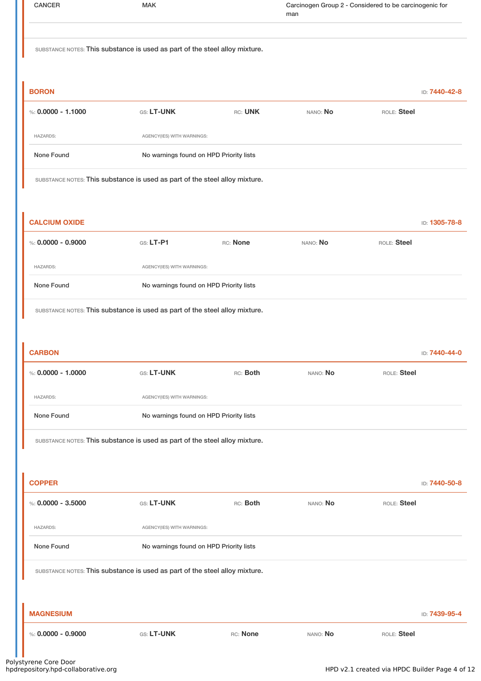| <b>CANCER</b>        | <b>MAK</b>                                                                  |          | Carcinogen Group 2 - Considered to be carcinogenic for<br>man |             |               |
|----------------------|-----------------------------------------------------------------------------|----------|---------------------------------------------------------------|-------------|---------------|
|                      | SUBSTANCE NOTES: This substance is used as part of the steel alloy mixture. |          |                                                               |             |               |
| <b>BORON</b>         |                                                                             |          |                                                               |             | ID: 7440-42-8 |
| %: $0.0000 - 1.1000$ | GS: LT-UNK                                                                  | RC: UNK  | NANO: No                                                      | ROLE: Steel |               |
| <b>HAZARDS:</b>      | AGENCY(IES) WITH WARNINGS:                                                  |          |                                                               |             |               |
| None Found           | No warnings found on HPD Priority lists                                     |          |                                                               |             |               |
|                      | SUBSTANCE NOTES: This substance is used as part of the steel alloy mixture. |          |                                                               |             |               |
|                      |                                                                             |          |                                                               |             |               |
| <b>CALCIUM OXIDE</b> |                                                                             |          |                                                               |             | ID: 1305-78-8 |
| %: $0.0000 - 0.9000$ | GS: LT-P1                                                                   | RC: None | NANO: No                                                      | ROLE: Steel |               |
| <b>HAZARDS:</b>      | AGENCY(IES) WITH WARNINGS:                                                  |          |                                                               |             |               |
| None Found           | No warnings found on HPD Priority lists                                     |          |                                                               |             |               |
|                      | SUBSTANCE NOTES: This substance is used as part of the steel alloy mixture. |          |                                                               |             |               |
|                      |                                                                             |          |                                                               |             |               |
|                      |                                                                             |          |                                                               |             |               |

| <b>CARBON</b>      |                            |                                         |          | ID: 7440-44-0 |  |
|--------------------|----------------------------|-----------------------------------------|----------|---------------|--|
| %: 0.0000 - 1.0000 | <b>GS: LT-UNK</b>          | RC: Both                                | NANO: No | ROLE: Steel   |  |
| <b>HAZARDS:</b>    | AGENCY(IES) WITH WARNINGS: |                                         |          |               |  |
| None Found         |                            | No warnings found on HPD Priority lists |          |               |  |
|                    |                            |                                         |          |               |  |

| <b>COPPER</b>        |                                                                             |          |          | ID: 7440-50-8 |  |  |
|----------------------|-----------------------------------------------------------------------------|----------|----------|---------------|--|--|
| %: $0.0000 - 3.5000$ | <b>GS: LT-UNK</b>                                                           | RC: Both | NANO: No | ROLE: Steel   |  |  |
| <b>HAZARDS:</b>      | AGENCY(IES) WITH WARNINGS:                                                  |          |          |               |  |  |
| None Found           | No warnings found on HPD Priority lists                                     |          |          |               |  |  |
|                      | SUBSTANCE NOTES: This substance is used as part of the steel alloy mixture. |          |          |               |  |  |
|                      |                                                                             |          |          |               |  |  |
| <b>MAGNESIUM</b>     |                                                                             |          |          | ID: 7439-95-4 |  |  |
| %: $0.0000 - 0.9000$ | <b>GS: LT-UNK</b>                                                           | RC: None | NANO: No | ROLE: Steel   |  |  |
|                      |                                                                             |          |          |               |  |  |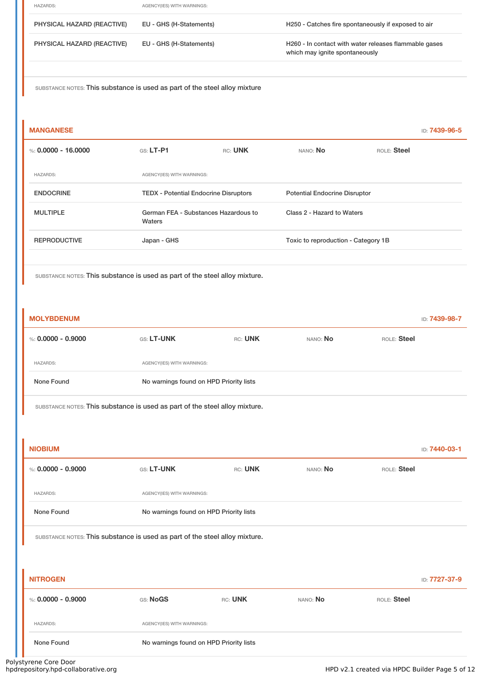| <b>HAZARDS:</b>            | AGENCY(IES) WITH WARNINGS: |                                                                                         |
|----------------------------|----------------------------|-----------------------------------------------------------------------------------------|
| PHYSICAL HAZARD (REACTIVE) | EU - GHS (H-Statements)    | H250 - Catches fire spontaneously if exposed to air                                     |
| PHYSICAL HAZARD (REACTIVE) | EU - GHS (H-Statements)    | H260 - In contact with water releases flammable gases<br>which may ignite spontaneously |
|                            |                            |                                                                                         |

| <b>MANGANESE</b>      |                                                |         |                                      |             | ID: 7439-96-5 |
|-----------------------|------------------------------------------------|---------|--------------------------------------|-------------|---------------|
| %: $0.0000 - 16.0000$ | $GS: LT-P1$                                    | RC: UNK | NANO: No                             | ROLE: Steel |               |
| <b>HAZARDS:</b>       | AGENCY(IES) WITH WARNINGS:                     |         |                                      |             |               |
| <b>ENDOCRINE</b>      | <b>TEDX - Potential Endocrine Disruptors</b>   |         | <b>Potential Endocrine Disruptor</b> |             |               |
| <b>MULTIPLE</b>       | German FEA - Substances Hazardous to<br>Waters |         | Class 2 - Hazard to Waters           |             |               |
| <b>REPRODUCTIVE</b>   | Japan - GHS                                    |         | Toxic to reproduction - Category 1B  |             |               |
|                       |                                                |         |                                      |             |               |

SUBSTANCE NOTES: This substance is used as part of the steel alloy mixture.

| <b>MOLYBDENUM</b>    |                                         |         |          | ID: 7439-98-7 |
|----------------------|-----------------------------------------|---------|----------|---------------|
| %: $0.0000 - 0.9000$ | <b>GS: LT-UNK</b>                       | RC: UNK | NANO: No | ROLE: Steel   |
| <b>HAZARDS:</b>      | AGENCY(IES) WITH WARNINGS:              |         |          |               |
| None Found           | No warnings found on HPD Priority lists |         |          |               |

SUBSTANCE NOTES: This substance is used as part of the steel alloy mixture.

| <b>NIOBIUM</b>       |                            |                                         |          | ID: 7440-03-1 |  |
|----------------------|----------------------------|-----------------------------------------|----------|---------------|--|
| %: $0.0000 - 0.9000$ | <b>GS: LT-UNK</b>          | RC: UNK                                 | NANO: No | ROLE: Steel   |  |
| <b>HAZARDS:</b>      | AGENCY(IES) WITH WARNINGS: |                                         |          |               |  |
| None Found           |                            | No warnings found on HPD Priority lists |          |               |  |
|                      |                            |                                         |          |               |  |

SUBSTANCE NOTES: This substance is used as part of the steel alloy mixture.

| <b>NITROGEN</b><br>ID: 7727-37-9 |          |                                         |          |             |  |
|----------------------------------|----------|-----------------------------------------|----------|-------------|--|
| %: 0.0000 - 0.9000               | GS: NoGS | RC: UNK                                 | NANO: No | ROLE: Steel |  |
| <b>HAZARDS:</b>                  |          | AGENCY(IES) WITH WARNINGS:              |          |             |  |
| None Found                       |          | No warnings found on HPD Priority lists |          |             |  |

Polystyrene Core Door<br>hpdrepository.hpd-collaborative.org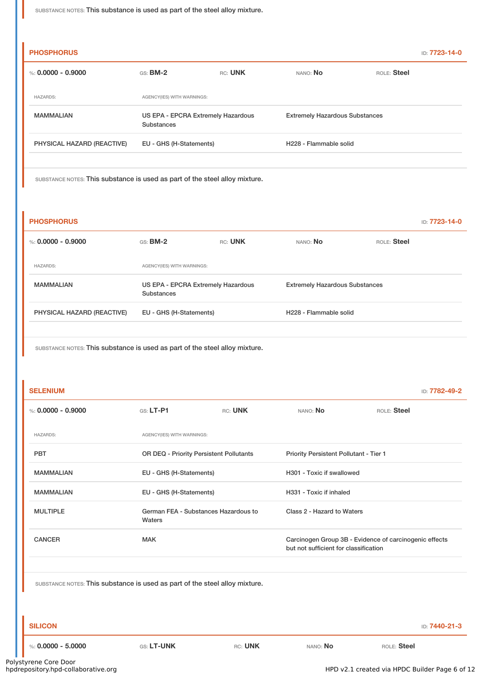| <b>PHOSPHORUS</b>          |                                                  |         |                                       |             | <b>ID: 7723-14-0</b> |
|----------------------------|--------------------------------------------------|---------|---------------------------------------|-------------|----------------------|
| %: $0.0000 - 0.9000$       | $GS:$ BM-2                                       | RC: UNK | NANO: No                              | ROLE: Steel |                      |
| <b>HAZARDS:</b>            | AGENCY(IES) WITH WARNINGS:                       |         |                                       |             |                      |
| <b>MAMMALIAN</b>           | US EPA - EPCRA Extremely Hazardous<br>Substances |         | <b>Extremely Hazardous Substances</b> |             |                      |
| PHYSICAL HAZARD (REACTIVE) | EU - GHS (H-Statements)                          |         | H228 - Flammable solid                |             |                      |

SUBSTANCE NOTES: This substance is used as part of the steel alloy mixture.

| <b>PHOSPHORUS</b>          |                                                  |         |                                       |             | <b>ID: 7723-14-0</b> |
|----------------------------|--------------------------------------------------|---------|---------------------------------------|-------------|----------------------|
| %: $0.0000 - 0.9000$       | $GS:$ BM-2                                       | RC: UNK | NANO: No                              | ROLE: Steel |                      |
| <b>HAZARDS:</b>            | AGENCY(IES) WITH WARNINGS:                       |         |                                       |             |                      |
| <b>MAMMALIAN</b>           | US EPA - EPCRA Extremely Hazardous<br>Substances |         | <b>Extremely Hazardous Substances</b> |             |                      |
| PHYSICAL HAZARD (REACTIVE) | EU - GHS (H-Statements)                          |         | H228 - Flammable solid                |             |                      |

SUBSTANCE NOTES: This substance is used as part of the steel alloy mixture.

| <b>SELENIUM</b> | ID: 7782-49-2 |
|-----------------|---------------|
|-----------------|---------------|

| %: $0.0000 - 0.9000$ | $GS: LT-P1$                                    | RC: UNK                 | NANO: No                                                                                        | ROLE: Steel             |  |  |
|----------------------|------------------------------------------------|-------------------------|-------------------------------------------------------------------------------------------------|-------------------------|--|--|
| <b>HAZARDS:</b>      | AGENCY(IES) WITH WARNINGS:                     |                         |                                                                                                 |                         |  |  |
| <b>PBT</b>           | <b>OR DEQ - Priority Persistent Pollutants</b> |                         | <b>Priority Persistent Pollutant - Tier 1</b>                                                   |                         |  |  |
| <b>MAMMALIAN</b>     | EU - GHS (H-Statements)                        |                         | H301 - Toxic if swallowed                                                                       |                         |  |  |
| <b>MAMMALIAN</b>     |                                                | EU - GHS (H-Statements) |                                                                                                 | H331 - Toxic if inhaled |  |  |
| <b>MULTIPLE</b>      | German FEA - Substances Hazardous to<br>Waters |                         | Class 2 - Hazard to Waters                                                                      |                         |  |  |
| <b>CANCER</b>        | <b>MAK</b>                                     |                         | Carcinogen Group 3B - Evidence of carcinogenic effects<br>but not sufficient for classification |                         |  |  |
|                      |                                                |                         |                                                                                                 |                         |  |  |

SUBSTANCE NOTES: This substance is used as part of the steel alloy mixture.

**SILICON** ID: **7440-21-3**

%: **0.0000 - 5.0000** GS: **LT-UNK** RC: **UNK** NANO: **No** ROLE: **Steel**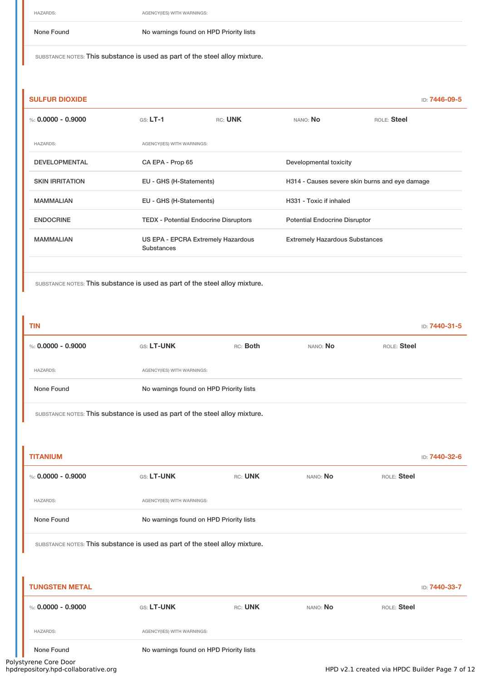HAZARDS: AGENCY(IES) WITH WARNINGS:

None Found No warnings found on HPD Priority lists

SUBSTANCE NOTES: This substance is used as part of the steel alloy mixture.

| <b>SULFUR DIOXIDE</b>  |                                                  |         |                                       | ID: 7446-09-5                                  |  |  |
|------------------------|--------------------------------------------------|---------|---------------------------------------|------------------------------------------------|--|--|
| %: $0.0000 - 0.9000$   | $GS: LT-1$                                       | RC: UNK | NANO: No                              | ROLE: Steel                                    |  |  |
| <b>HAZARDS:</b>        | AGENCY(IES) WITH WARNINGS:                       |         |                                       |                                                |  |  |
| <b>DEVELOPMENTAL</b>   | CA EPA - Prop 65                                 |         | Developmental toxicity                |                                                |  |  |
| <b>SKIN IRRITATION</b> | EU - GHS (H-Statements)                          |         |                                       | H314 - Causes severe skin burns and eye damage |  |  |
| <b>MAMMALIAN</b>       | EU - GHS (H-Statements)                          |         | H331 - Toxic if inhaled               |                                                |  |  |
| <b>ENDOCRINE</b>       | <b>TEDX</b> - Potential Endocrine Disruptors     |         | <b>Potential Endocrine Disruptor</b>  |                                                |  |  |
| <b>MAMMALIAN</b>       | US EPA - EPCRA Extremely Hazardous<br>Substances |         | <b>Extremely Hazardous Substances</b> |                                                |  |  |

SUBSTANCE NOTES: This substance is used as part of the steel alloy mixture.

| <b>TIN</b>         |                                         |          |          | ID: 7440-31-5 |
|--------------------|-----------------------------------------|----------|----------|---------------|
| %: 0.0000 - 0.9000 | <b>GS: LT-UNK</b>                       | RC: Both | NANO: No | ROLE: Steel   |
| <b>HAZARDS:</b>    | AGENCY(IES) WITH WARNINGS:              |          |          |               |
| None Found         | No warnings found on HPD Priority lists |          |          |               |
|                    |                                         |          |          |               |

SUBSTANCE NOTES: This substance is used as part of the steel alloy mixture.

| <b>TITANIUM</b>                                                             |                                         |         |          | ID: 7440-32-6 |  |  |
|-----------------------------------------------------------------------------|-----------------------------------------|---------|----------|---------------|--|--|
| %: $0.0000 - 0.9000$                                                        | GS: LT-UNK                              | RC: UNK | NANO: No | ROLE: Steel   |  |  |
| <b>HAZARDS:</b>                                                             | AGENCY(IES) WITH WARNINGS:              |         |          |               |  |  |
| None Found                                                                  | No warnings found on HPD Priority lists |         |          |               |  |  |
| SUBSTANCE NOTES: This substance is used as part of the steel alloy mixture. |                                         |         |          |               |  |  |
|                                                                             |                                         |         |          |               |  |  |
| <b>TUNGSTEN METAL</b>                                                       |                                         |         |          | ID: 7440-33-7 |  |  |
| %: $0.0000 - 0.9000$                                                        | GS: LT-UNK                              | RC: UNK | NANO: No | ROLE: Steel   |  |  |
| <b>HAZARDS:</b>                                                             | AGENCY(IES) WITH WARNINGS:              |         |          |               |  |  |
| None Found<br>tyrene Core Door                                              | No warnings found on HPD Priority lists |         |          |               |  |  |

Polystyrene Core Door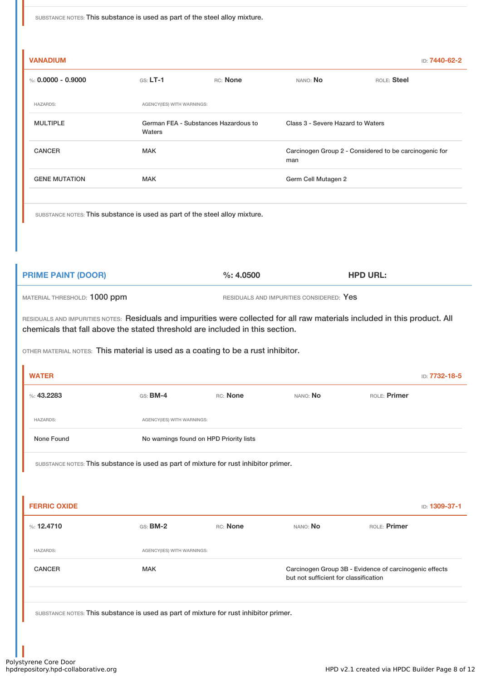| <b>VANADIUM</b>      |                                                |          |                                   | ID: 7440-62-2                                          |  |
|----------------------|------------------------------------------------|----------|-----------------------------------|--------------------------------------------------------|--|
| %: $0.0000 - 0.9000$ | $GS: LT-1$                                     | RC: None | NANO: No                          | ROLE: Steel                                            |  |
| <b>HAZARDS:</b>      | AGENCY(IES) WITH WARNINGS:                     |          |                                   |                                                        |  |
| <b>MULTIPLE</b>      | German FEA - Substances Hazardous to<br>Waters |          | Class 3 - Severe Hazard to Waters |                                                        |  |
| <b>CANCER</b>        | <b>MAK</b>                                     |          | man                               | Carcinogen Group 2 - Considered to be carcinogenic for |  |
| <b>GENE MUTATION</b> | <b>MAK</b>                                     |          | Germ Cell Mutagen 2               |                                                        |  |
|                      |                                                |          |                                   |                                                        |  |

SUBSTANCE NOTES: This substance is used as part of the steel alloy mixture.

| <b>PRIME PAINT (DOOR)</b>    | $\%: 4.0500$                             | <b>HPD URL:</b> |
|------------------------------|------------------------------------------|-----------------|
| MATERIAL THRESHOLD: 1000 ppm | RESIDUALS AND IMPURITIES CONSIDERED: Yes |                 |

RESIDUALS AND IMPURITIES NOTES: Residuals and impurities were collected for all raw materials included in this product. All chemicals that fall above the stated threshold are included in this section.

OTHER MATERIAL NOTES: This material is used as a coating to be a rust inhibitor.

| <b>WATER</b>        |                                                                                       |                                         |                                       | ID: 7732-18-5                                          |  |  |  |
|---------------------|---------------------------------------------------------------------------------------|-----------------------------------------|---------------------------------------|--------------------------------------------------------|--|--|--|
| %: 43.2283          | $GS:$ BM-4                                                                            | RC: None                                | NANO: No                              | ROLE: Primer                                           |  |  |  |
| <b>HAZARDS:</b>     | AGENCY(IES) WITH WARNINGS:                                                            |                                         |                                       |                                                        |  |  |  |
| None Found          |                                                                                       | No warnings found on HPD Priority lists |                                       |                                                        |  |  |  |
|                     | SUBSTANCE NOTES: This substance is used as part of mixture for rust inhibitor primer. |                                         |                                       |                                                        |  |  |  |
|                     |                                                                                       |                                         |                                       |                                                        |  |  |  |
| <b>FERRIC OXIDE</b> |                                                                                       |                                         |                                       | ID: 1309-37-1                                          |  |  |  |
| %: $12.4710$        | $GS: BM-2$                                                                            | RC: None                                | NANO: No                              | ROLE: Primer                                           |  |  |  |
| <b>HAZARDS:</b>     | AGENCY(IES) WITH WARNINGS:                                                            |                                         |                                       |                                                        |  |  |  |
| <b>CANCER</b>       | <b>MAK</b>                                                                            |                                         | but not sufficient for classification | Carcinogen Group 3B - Evidence of carcinogenic effects |  |  |  |
|                     |                                                                                       |                                         |                                       |                                                        |  |  |  |
|                     | SUBSTANCE NOTES: This substance is used as part of mixture for rust inhibitor primer. |                                         |                                       |                                                        |  |  |  |
|                     |                                                                                       |                                         |                                       |                                                        |  |  |  |
|                     |                                                                                       |                                         |                                       |                                                        |  |  |  |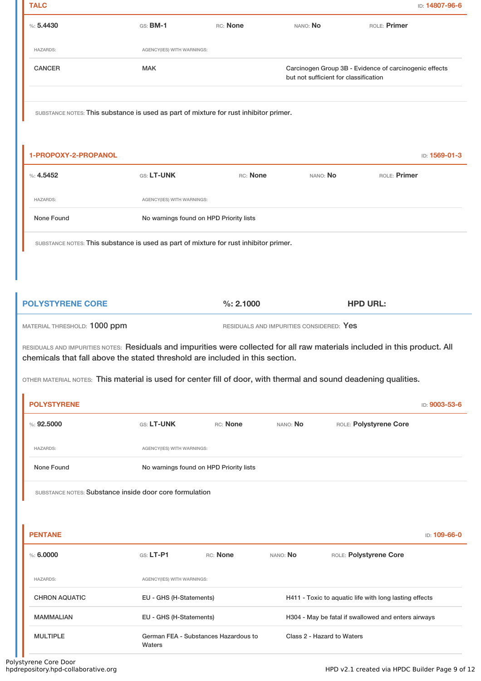| <b>TALC</b>                                                                                                                                                                                                 |                            |                                         |                                          |                                                                                                 | ID: 14807-96-6 |
|-------------------------------------------------------------------------------------------------------------------------------------------------------------------------------------------------------------|----------------------------|-----------------------------------------|------------------------------------------|-------------------------------------------------------------------------------------------------|----------------|
| %5.4430                                                                                                                                                                                                     | $GS:$ BM-1                 | RC: None                                | NANO: No                                 |                                                                                                 | ROLE: Primer   |
| <b>HAZARDS:</b>                                                                                                                                                                                             | AGENCY(IES) WITH WARNINGS: |                                         |                                          |                                                                                                 |                |
| <b>CANCER</b>                                                                                                                                                                                               | <b>MAK</b>                 |                                         |                                          | Carcinogen Group 3B - Evidence of carcinogenic effects<br>but not sufficient for classification |                |
| SUBSTANCE NOTES: This substance is used as part of mixture for rust inhibitor primer.                                                                                                                       |                            |                                         |                                          |                                                                                                 |                |
| 1-PROPOXY-2-PROPANOL                                                                                                                                                                                        |                            |                                         |                                          |                                                                                                 | ID: 1569-01-3  |
| $\%: 4.5452$                                                                                                                                                                                                | GS: LT-UNK                 | RC: None                                |                                          | NANO: No                                                                                        | ROLE: Primer   |
| <b>HAZARDS:</b>                                                                                                                                                                                             | AGENCY(IES) WITH WARNINGS: |                                         |                                          |                                                                                                 |                |
| None Found                                                                                                                                                                                                  |                            | No warnings found on HPD Priority lists |                                          |                                                                                                 |                |
| SUBSTANCE NOTES: This substance is used as part of mixture for rust inhibitor primer.                                                                                                                       |                            |                                         |                                          |                                                                                                 |                |
| MATERIAL THRESHOLD: 1000 ppm                                                                                                                                                                                |                            |                                         | RESIDUALS AND IMPURITIES CONSIDERED: Yes |                                                                                                 |                |
| RESIDUALS AND IMPURITIES NOTES: Residuals and impurities were collected for all raw materials included in this product. All<br>chemicals that fall above the stated threshold are included in this section. |                            |                                         |                                          |                                                                                                 |                |
| OTHER MATERIAL NOTES: This material is used for center fill of door, with thermal and sound deadening qualities.                                                                                            |                            |                                         |                                          |                                                                                                 |                |
| <b>POLYSTYRENE</b>                                                                                                                                                                                          |                            |                                         |                                          |                                                                                                 | ID: 9003-53-6  |
| %: 92.5000                                                                                                                                                                                                  | <b>GS: LT-UNK</b>          | RC: None                                | NANO: No                                 | ROLE: Polystyrene Core                                                                          |                |
| <b>HAZARDS:</b>                                                                                                                                                                                             | AGENCY(IES) WITH WARNINGS: |                                         |                                          |                                                                                                 |                |
| None Found                                                                                                                                                                                                  |                            | No warnings found on HPD Priority lists |                                          |                                                                                                 |                |
| SUBSTANCE NOTES: Substance inside door core formulation                                                                                                                                                     |                            |                                         |                                          |                                                                                                 |                |
| <b>PENTANE</b>                                                                                                                                                                                              |                            |                                         |                                          |                                                                                                 | ID: 109-66-0   |
| %50000                                                                                                                                                                                                      | GS: LT-P1                  | RC: None                                | NANO: No                                 | ROLE: Polystyrene Core                                                                          |                |
|                                                                                                                                                                                                             |                            |                                         |                                          |                                                                                                 |                |
| <b>HAZARDS:</b>                                                                                                                                                                                             | AGENCY(IES) WITH WARNINGS: |                                         |                                          |                                                                                                 |                |

MAMMALIAN EU - GHS (H-Statements) H304 - May be fatal if swallowed and enters airways

MULTIPLE German FEA - Substances Hazardous to Waters

Class 2 - Hazard to Waters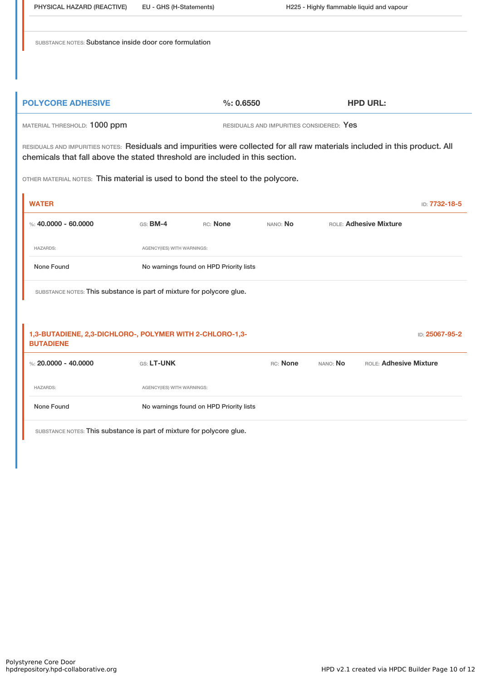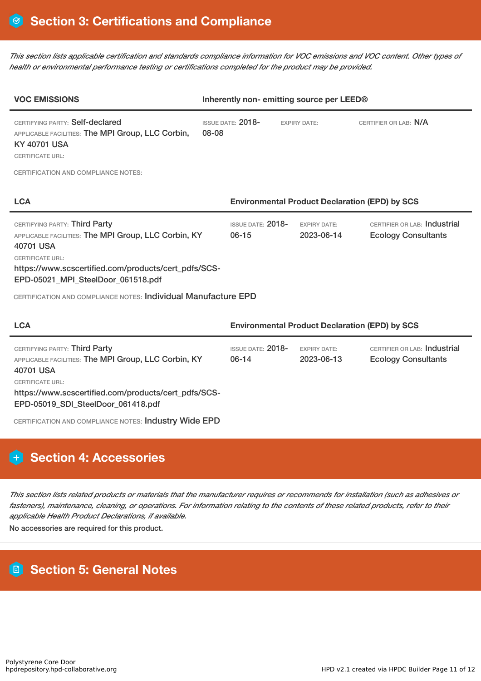This section lists applicable certification and standards compliance information for VOC emissions and VOC content. Other types of *health or environmental performance testing or certifications completed for the product may be provided.*

| <b>VOC EMISSIONS</b>                                                                                                                                                                                                                                                                          | Inherently non-emitting source per LEED® |                                                       |                                   |                                                            |
|-----------------------------------------------------------------------------------------------------------------------------------------------------------------------------------------------------------------------------------------------------------------------------------------------|------------------------------------------|-------------------------------------------------------|-----------------------------------|------------------------------------------------------------|
| CERTIFYING PARTY: Self-declared<br>APPLICABLE FACILITIES: The MPI Group, LLC Corbin,<br><b>KY 40701 USA</b><br><b>CERTIFICATE URL:</b>                                                                                                                                                        | <b>ISSUE DATE: 2018-</b><br>08-08        |                                                       | <b>EXPIRY DATE:</b>               | CERTIFIER OR LAB: N/A                                      |
| <b>CERTIFICATION AND COMPLIANCE NOTES:</b>                                                                                                                                                                                                                                                    |                                          |                                                       |                                   |                                                            |
| <b>LCA</b>                                                                                                                                                                                                                                                                                    |                                          | <b>Environmental Product Declaration (EPD) by SCS</b> |                                   |                                                            |
| CERTIFYING PARTY: Third Party<br>APPLICABLE FACILITIES: The MPI Group, LLC Corbin, KY<br>40701 USA<br><b>CERTIFICATE URL:</b><br>https://www.scscertified.com/products/cert_pdfs/SCS-<br>EPD-05021_MPI_SteelDoor_061518.pdf<br>CERTIFICATION AND COMPLIANCE NOTES: Individual Manufacture EPD |                                          | ISSUE DATE: 2018-<br>$06 - 15$                        | <b>EXPIRY DATE:</b><br>2023-06-14 | CERTIFIER OR LAB: Industrial<br><b>Ecology Consultants</b> |
| <b>LCA</b>                                                                                                                                                                                                                                                                                    |                                          | <b>Environmental Product Declaration (EPD) by SCS</b> |                                   |                                                            |
| CERTIFYING PARTY: Third Party<br>APPLICABLE FACILITIES: The MPI Group, LLC Corbin, KY<br>40701 USA<br><b>CERTIFICATE URL:</b><br>https://www.scscertified.com/products/cert_pdfs/SCS-<br>EPD-05019_SDI_SteelDoor_061418.pdf<br>CERTIFICATION AND COMPLIANCE NOTES: Industry Wide EPD          |                                          | <b>ISSUE DATE: 2018-</b><br>$06-14$                   | <b>EXPIRY DATE:</b><br>2023-06-13 | CERTIFIER OR LAB: Industrial<br><b>Ecology Consultants</b> |

# **Section 4: Accessories**

This section lists related products or materials that the manufacturer requires or recommends for installation (such as adhesives or fasteners), maintenance, cleaning, or operations. For information relating to the contents of these related products, refer to their *applicable Health Product Declarations, if available.*

No accessories are required for this product.

# **Section 5: General Notes**